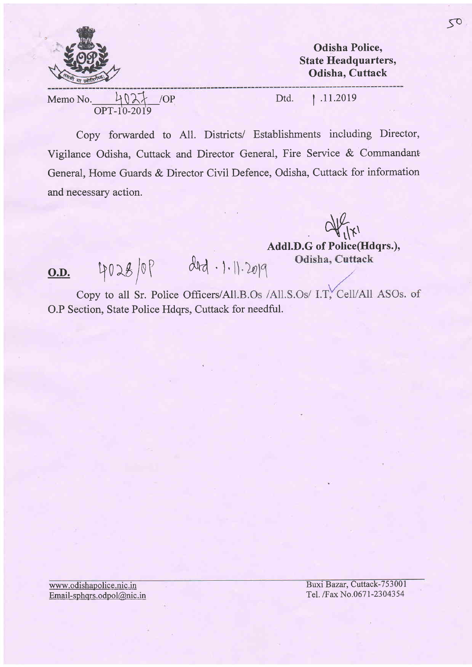

Odisha Police, State Headquarters, Odisha, Cuttack

Memo No.  $\frac{4027}{1000}$  /OP Dtd. 11.2019 oPT-1'0-20I9

Copy forwarded to Al1. Districts/ Establishments including Director, Vigilance Odisha, Cuttack and Director General, Fire Service & Commandant General, Home Guards & Director Civil Defence, Odisha, Cuttack for information and necessary action.

 $\frac{d}{dx}$ 

Addl.D.G of Police(Hdqrs.) Odisha, Cuttack

O.D. 4028/0P did. 1.11.2019

Copy to all Sr. Police Officers/All.B.Os /All.S.Os/ I.T. Cell/All ASOs. of O.P Section, State Police Hdqrs, Cuttack for needful.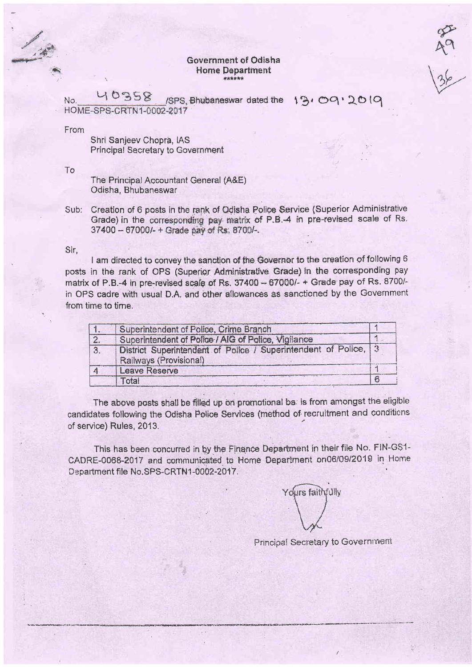## Government of Odisha **Home Department**

 $\begin{pmatrix} 1 & 1 \\ 1 & 1 \end{pmatrix}$ 

40358 ISPS. Bhubaneswar dated the 19, 09, 2019 No. HOME-SPS-CRTN1-0002-2017

From

Shri Sanieev Chopra, IAS Principal Secretary to Government

To

The Principal Accountant General (A&E) Odisha, Bhubaneswar

Creation of 6 posts in the rank of Odisha Police Service (Superior Administrative Sub: Grade) in the corresponding pay matrix of P.B.-4 in pre-revised scale of Rs. 37400 - 67000/- + Grade pay of Rs. 8700/-.

## Sir,

I am directed to convey the sanction of the Governor to the creation of following 6 posts in the rank of OPS (Superior Administrative Grade) in the corresponding pay matrix of P.B.-4 in pre-revised scale of Rs. 37400 - 67000/- + Grade pay of Rs. 8700/in OPS cadre with usual D.A. and other allowances as sanctioned by the Government from time to time.

|    | Superintendent of Police, Crime Branch                                                    |  |
|----|-------------------------------------------------------------------------------------------|--|
| 2. | Superintendent of Police / AIG of Police, Vigilance                                       |  |
| 3. | District Superintendent of Police / Superintendent of Police, 3<br>Railways (Provisional) |  |
|    | <b>Leave Reserve</b>                                                                      |  |
|    | Total                                                                                     |  |

The above posts shall be filled up on promotional ba: is from amongst the eligible candidates following the Odisha Police Services (method of recruitment and conditions of service) Rules, 2013.

This has been concurred in by the Finance Department in their file No. FIN-GS1-CADRE-0068-2017 and communicated to Home Department on06/09/2019 in Home Department file No.SPS-CRTN1-0002-2017.

Yours faithfully

Principal Secretary to Government